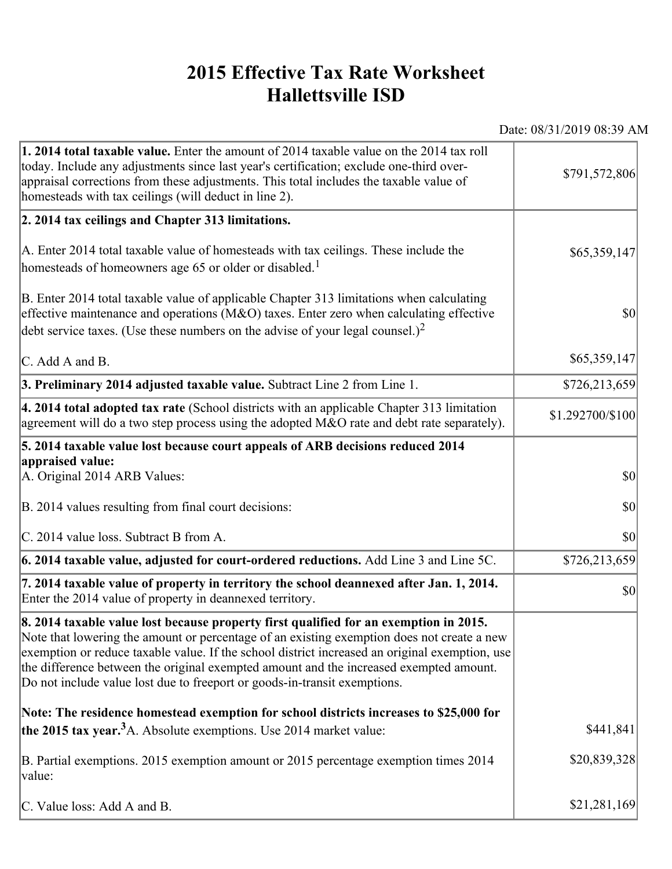## **2015 Effective Tax Rate Worksheet Hallettsville ISD**

Date: 08/31/2019 08:39 AM

| <b>1. 2014 total taxable value.</b> Enter the amount of 2014 taxable value on the 2014 tax roll<br>today. Include any adjustments since last year's certification; exclude one-third over-<br>appraisal corrections from these adjustments. This total includes the taxable value of<br>homesteads with tax ceilings (will deduct in line 2).                                                                                                                | \$791,572,806    |
|--------------------------------------------------------------------------------------------------------------------------------------------------------------------------------------------------------------------------------------------------------------------------------------------------------------------------------------------------------------------------------------------------------------------------------------------------------------|------------------|
| 2. 2014 tax ceilings and Chapter 313 limitations.                                                                                                                                                                                                                                                                                                                                                                                                            |                  |
| A. Enter 2014 total taxable value of homesteads with tax ceilings. These include the<br>homesteads of homeowners age 65 or older or disabled. <sup>1</sup>                                                                                                                                                                                                                                                                                                   | \$65,359,147     |
| B. Enter 2014 total taxable value of applicable Chapter 313 limitations when calculating<br>effective maintenance and operations (M&O) taxes. Enter zero when calculating effective<br>debt service taxes. (Use these numbers on the advise of your legal counsel.) <sup>2</sup>                                                                                                                                                                             | $ 10\rangle$     |
| C. Add A and B.                                                                                                                                                                                                                                                                                                                                                                                                                                              | \$65,359,147     |
| 3. Preliminary 2014 adjusted taxable value. Subtract Line 2 from Line 1.                                                                                                                                                                                                                                                                                                                                                                                     | \$726,213,659    |
| $\vert$ 4. 2014 total adopted tax rate (School districts with an applicable Chapter 313 limitation<br>agreement will do a two step process using the adopted M&O rate and debt rate separately).                                                                                                                                                                                                                                                             | \$1.292700/\$100 |
| 5. 2014 taxable value lost because court appeals of ARB decisions reduced 2014                                                                                                                                                                                                                                                                                                                                                                               |                  |
| appraised value:<br>A. Original 2014 ARB Values:                                                                                                                                                                                                                                                                                                                                                                                                             | $ 10\rangle$     |
| B. 2014 values resulting from final court decisions:                                                                                                                                                                                                                                                                                                                                                                                                         | \$0              |
| C. 2014 value loss. Subtract B from A.                                                                                                                                                                                                                                                                                                                                                                                                                       | $ 10\rangle$     |
| $\vert$ 6. 2014 taxable value, adjusted for court-ordered reductions. Add Line 3 and Line 5C.                                                                                                                                                                                                                                                                                                                                                                | \$726,213,659    |
| 7. 2014 taxable value of property in territory the school deannexed after Jan. 1, 2014.<br>Enter the 2014 value of property in deannexed territory.                                                                                                                                                                                                                                                                                                          | $ 10\rangle$     |
| 8. 2014 taxable value lost because property first qualified for an exemption in 2015.<br>Note that lowering the amount or percentage of an existing exemption does not create a new<br>exemption or reduce taxable value. If the school district increased an original exemption, use<br>the difference between the original exempted amount and the increased exempted amount.<br>Do not include value lost due to freeport or goods-in-transit exemptions. |                  |
| Note: The residence homestead exemption for school districts increases to \$25,000 for                                                                                                                                                                                                                                                                                                                                                                       |                  |
| the 2015 tax year. <sup>3</sup> A. Absolute exemptions. Use 2014 market value:                                                                                                                                                                                                                                                                                                                                                                               | \$441,841        |
| B. Partial exemptions. 2015 exemption amount or 2015 percentage exemption times 2014<br>value:                                                                                                                                                                                                                                                                                                                                                               | \$20,839,328     |
| C. Value loss: Add A and B.                                                                                                                                                                                                                                                                                                                                                                                                                                  | \$21,281,169     |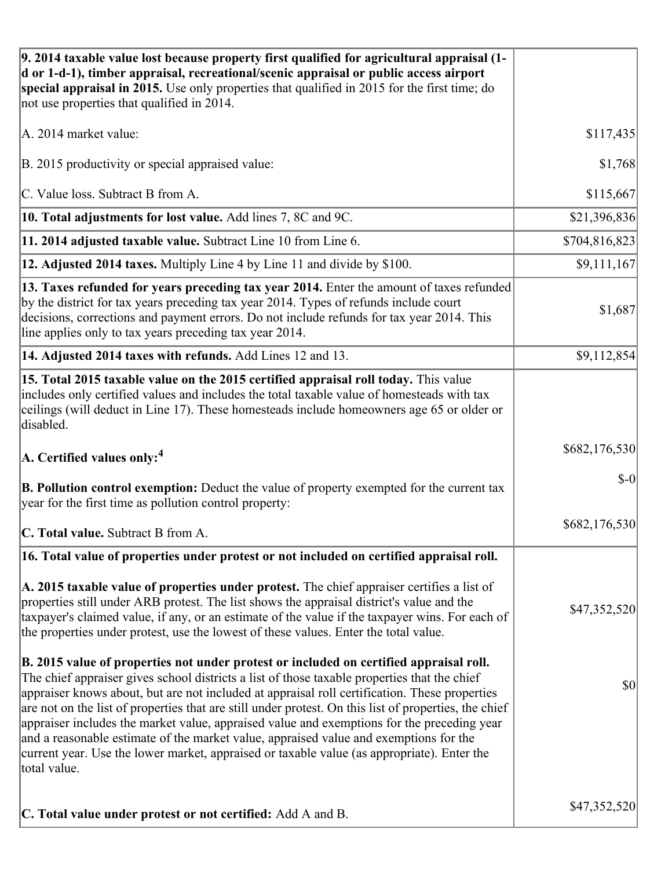| 9. 2014 taxable value lost because property first qualified for agricultural appraisal (1-<br>d or 1-d-1), timber appraisal, recreational/scenic appraisal or public access airport<br>special appraisal in 2015. Use only properties that qualified in 2015 for the first time; do<br>not use properties that qualified in 2014.                                                                                                                                                                                                                                                                                                                                                                     |               |
|-------------------------------------------------------------------------------------------------------------------------------------------------------------------------------------------------------------------------------------------------------------------------------------------------------------------------------------------------------------------------------------------------------------------------------------------------------------------------------------------------------------------------------------------------------------------------------------------------------------------------------------------------------------------------------------------------------|---------------|
| A. 2014 market value:                                                                                                                                                                                                                                                                                                                                                                                                                                                                                                                                                                                                                                                                                 | \$117,435     |
| B. 2015 productivity or special appraised value:                                                                                                                                                                                                                                                                                                                                                                                                                                                                                                                                                                                                                                                      | \$1,768       |
| C. Value loss. Subtract B from A.                                                                                                                                                                                                                                                                                                                                                                                                                                                                                                                                                                                                                                                                     | \$115,667     |
| 10. Total adjustments for lost value. Add lines 7, 8C and 9C.                                                                                                                                                                                                                                                                                                                                                                                                                                                                                                                                                                                                                                         | \$21,396,836  |
| 11. 2014 adjusted taxable value. Subtract Line 10 from Line 6.                                                                                                                                                                                                                                                                                                                                                                                                                                                                                                                                                                                                                                        | \$704,816,823 |
| 12. Adjusted 2014 taxes. Multiply Line 4 by Line 11 and divide by \$100.                                                                                                                                                                                                                                                                                                                                                                                                                                                                                                                                                                                                                              | \$9,111,167   |
| 13. Taxes refunded for years preceding tax year 2014. Enter the amount of taxes refunded<br>by the district for tax years preceding tax year 2014. Types of refunds include court<br>decisions, corrections and payment errors. Do not include refunds for tax year 2014. This<br>line applies only to tax years preceding tax year 2014.                                                                                                                                                                                                                                                                                                                                                             | \$1,687       |
| 14. Adjusted 2014 taxes with refunds. Add Lines 12 and 13.                                                                                                                                                                                                                                                                                                                                                                                                                                                                                                                                                                                                                                            | \$9,112,854   |
| 15. Total 2015 taxable value on the 2015 certified appraisal roll today. This value<br>includes only certified values and includes the total taxable value of homesteads with tax<br>ceilings (will deduct in Line 17). These homesteads include homeowners age 65 or older or<br>disabled.                                                                                                                                                                                                                                                                                                                                                                                                           |               |
| $ A$ . Certified values only: <sup>4</sup>                                                                                                                                                                                                                                                                                                                                                                                                                                                                                                                                                                                                                                                            | \$682,176,530 |
| <b>B. Pollution control exemption:</b> Deduct the value of property exempted for the current tax<br>year for the first time as pollution control property:                                                                                                                                                                                                                                                                                                                                                                                                                                                                                                                                            | $$-0$         |
| C. Total value. Subtract B from A.                                                                                                                                                                                                                                                                                                                                                                                                                                                                                                                                                                                                                                                                    | \$682,176,530 |
| 16. Total value of properties under protest or not included on certified appraisal roll.                                                                                                                                                                                                                                                                                                                                                                                                                                                                                                                                                                                                              |               |
| A. 2015 taxable value of properties under protest. The chief appraiser certifies a list of<br>properties still under ARB protest. The list shows the appraisal district's value and the<br>taxpayer's claimed value, if any, or an estimate of the value if the taxpayer wins. For each of<br>the properties under protest, use the lowest of these values. Enter the total value.                                                                                                                                                                                                                                                                                                                    | \$47,352,520  |
| B. 2015 value of properties not under protest or included on certified appraisal roll.<br>The chief appraiser gives school districts a list of those taxable properties that the chief<br>appraiser knows about, but are not included at appraisal roll certification. These properties<br>are not on the list of properties that are still under protest. On this list of properties, the chief<br>appraiser includes the market value, appraised value and exemptions for the preceding year<br>and a reasonable estimate of the market value, appraised value and exemptions for the<br>current year. Use the lower market, appraised or taxable value (as appropriate). Enter the<br>total value. | \$0           |
| C. Total value under protest or not certified: Add A and B.                                                                                                                                                                                                                                                                                                                                                                                                                                                                                                                                                                                                                                           | \$47,352,520  |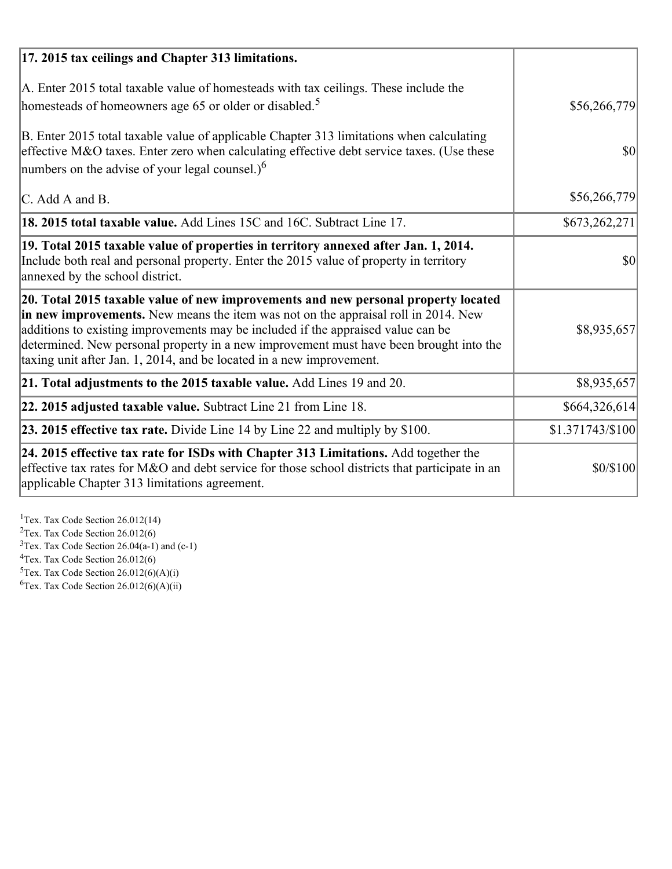| 17. 2015 tax ceilings and Chapter 313 limitations.                                                                                                                                                                                                                                                                                                                                                                             |                  |
|--------------------------------------------------------------------------------------------------------------------------------------------------------------------------------------------------------------------------------------------------------------------------------------------------------------------------------------------------------------------------------------------------------------------------------|------------------|
| A. Enter 2015 total taxable value of homesteads with tax ceilings. These include the<br>homesteads of homeowners age 65 or older or disabled. <sup>5</sup>                                                                                                                                                                                                                                                                     | \$56,266,779     |
| B. Enter 2015 total taxable value of applicable Chapter 313 limitations when calculating<br>effective M&O taxes. Enter zero when calculating effective debt service taxes. (Use these<br>numbers on the advise of your legal counsel.) $6$                                                                                                                                                                                     | 30               |
| C. Add A and B.                                                                                                                                                                                                                                                                                                                                                                                                                | \$56,266,779     |
| 18. 2015 total taxable value. Add Lines 15C and 16C. Subtract Line 17.                                                                                                                                                                                                                                                                                                                                                         | \$673,262,271    |
| 19. Total 2015 taxable value of properties in territory annexed after Jan. 1, 2014.<br>Include both real and personal property. Enter the 2015 value of property in territory<br>annexed by the school district.                                                                                                                                                                                                               | $\vert$ \$0      |
| 20. Total 2015 taxable value of new improvements and new personal property located<br>in new improvements. New means the item was not on the appraisal roll in 2014. New<br>additions to existing improvements may be included if the appraised value can be<br>determined. New personal property in a new improvement must have been brought into the<br>taxing unit after Jan. 1, 2014, and be located in a new improvement. | \$8,935,657      |
| 21. Total adjustments to the 2015 taxable value. Add Lines 19 and 20.                                                                                                                                                                                                                                                                                                                                                          | \$8,935,657      |
| $ 22.2015$ adjusted taxable value. Subtract Line 21 from Line 18.                                                                                                                                                                                                                                                                                                                                                              | \$664,326,614]   |
| <b>23. 2015 effective tax rate.</b> Divide Line 14 by Line 22 and multiply by \$100.                                                                                                                                                                                                                                                                                                                                           | \$1.371743/\$100 |
| 24. 2015 effective tax rate for ISDs with Chapter 313 Limitations. Add together the<br>effective tax rates for M&O and debt service for those school districts that participate in an<br>applicable Chapter 313 limitations agreement.                                                                                                                                                                                         | \$0/\$100        |

<sup>1</sup>Tex. Tax Code Section 26.012(14)  $2$ Tex. Tax Code Section 26.012(6)  $3$ Tex. Tax Code Section 26.04(a-1) and (c-1)  $4$ Tex. Tax Code Section 26.012(6)  ${}^{5}$ Tex. Tax Code Section 26.012(6)(A)(i)

 ${}^{6}$ Tex. Tax Code Section 26.012(6)(A)(ii)